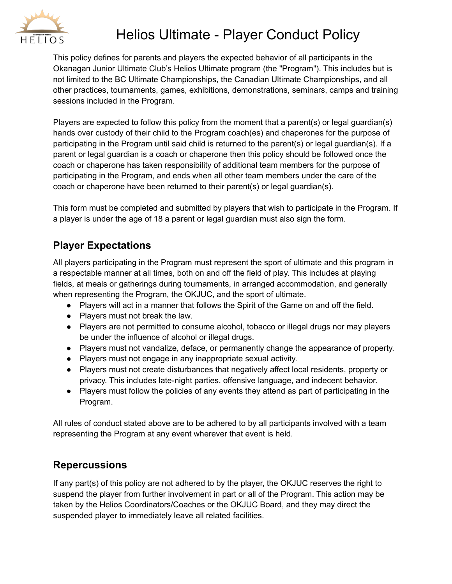

## Helios Ultimate - Player Conduct Policy

This policy defines for parents and players the expected behavior of all participants in the Okanagan Junior Ultimate Club's Helios Ultimate program (the "Program"). This includes but is not limited to the BC Ultimate Championships, the Canadian Ultimate Championships, and all other practices, tournaments, games, exhibitions, demonstrations, seminars, camps and training sessions included in the Program.

Players are expected to follow this policy from the moment that a parent(s) or legal guardian(s) hands over custody of their child to the Program coach(es) and chaperones for the purpose of participating in the Program until said child is returned to the parent(s) or legal guardian(s). If a parent or legal guardian is a coach or chaperone then this policy should be followed once the coach or chaperone has taken responsibility of additional team members for the purpose of participating in the Program, and ends when all other team members under the care of the coach or chaperone have been returned to their parent(s) or legal guardian(s).

This form must be completed and submitted by players that wish to participate in the Program. If a player is under the age of 18 a parent or legal guardian must also sign the form.

## **Player Expectations**

All players participating in the Program must represent the sport of ultimate and this program in a respectable manner at all times, both on and off the field of play. This includes at playing fields, at meals or gatherings during tournaments, in arranged accommodation, and generally when representing the Program, the OKJUC, and the sport of ultimate.

- Players will act in a manner that follows the Spirit of the Game on and off the field.
- Players must not break the law.
- Players are not permitted to consume alcohol, tobacco or illegal drugs nor may players be under the influence of alcohol or illegal drugs.
- Players must not vandalize, deface, or permanently change the appearance of property.
- Players must not engage in any inappropriate sexual activity.
- Players must not create disturbances that negatively affect local residents, property or privacy. This includes late-night parties, offensive language, and indecent behavior.
- Players must follow the policies of any events they attend as part of participating in the Program.

All rules of conduct stated above are to be adhered to by all participants involved with a team representing the Program at any event wherever that event is held.

## **Repercussions**

If any part(s) of this policy are not adhered to by the player, the OKJUC reserves the right to suspend the player from further involvement in part or all of the Program. This action may be taken by the Helios Coordinators/Coaches or the OKJUC Board, and they may direct the suspended player to immediately leave all related facilities.